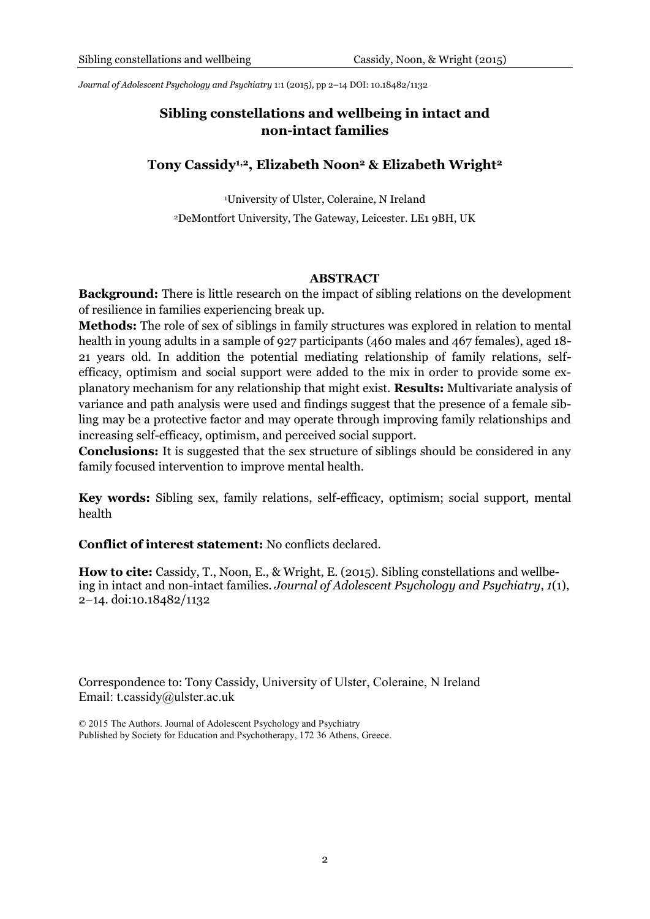*Journal of Adolescent Psychology and Psychiatry* 1:1 (2015), pp 2–14 DOI: 10.18482/1132

# **Sibling constellations and wellbeing in intact and non-intact families**

## **Tony Cassidy1,2, Elizabeth Noon<sup>2</sup> & Elizabeth Wright<sup>2</sup>**

<sup>1</sup>University of Ulster, Coleraine, N Ireland <sup>2</sup>DeMontfort University, The Gateway, Leicester. LE1 9BH, UK

#### **ABSTRACT**

**Background:** There is little research on the impact of sibling relations on the development of resilience in families experiencing break up.

**Methods:** The role of sex of siblings in family structures was explored in relation to mental health in young adults in a sample of 927 participants (460 males and 467 females), aged 18-21 years old. In addition the potential mediating relationship of family relations, selfefficacy, optimism and social support were added to the mix in order to provide some explanatory mechanism for any relationship that might exist. **Results:** Multivariate analysis of variance and path analysis were used and findings suggest that the presence of a female sibling may be a protective factor and may operate through improving family relationships and increasing self-efficacy, optimism, and perceived social support.

**Conclusions:** It is suggested that the sex structure of siblings should be considered in any family focused intervention to improve mental health.

**Key words:** Sibling sex, family relations, self-efficacy, optimism; social support, mental health

## **Conflict of interest statement:** No conflicts declared.

**How to cite:** Cassidy, T., Noon, E., & Wright, E. (2015). Sibling constellations and wellbeing in intact and non-intact families. *Journal of Adolescent Psychology and Psychiatry*, *1*(1), 2–14. doi:10.18482/1132

Correspondence to: Tony Cassidy, University of Ulster, Coleraine, N Ireland Email: t.cassidy@ulster.ac.uk

© 2015 The Authors. Journal of Adolescent Psychology and Psychiatry Published by Society for Education and Psychotherapy, 172 36 Athens, Greece.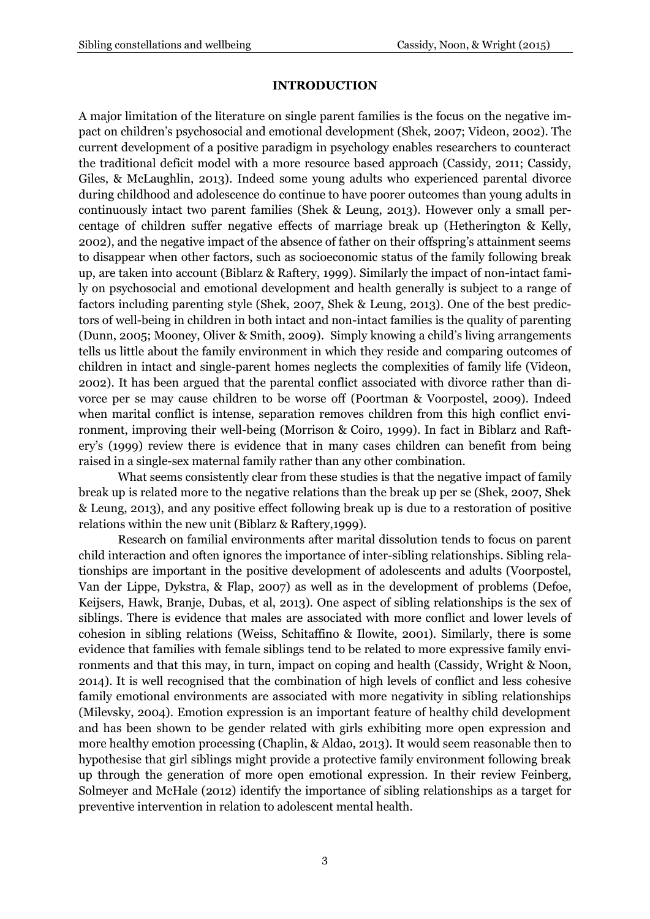#### **INTRODUCTION**

A major limitation of the literature on single parent families is the focus on the negative impact on children's psychosocial and emotional development (Shek, 2007; Videon, 2002). The current development of a positive paradigm in psychology enables researchers to counteract the traditional deficit model with a more resource based approach (Cassidy, 2011; Cassidy, Giles, & McLaughlin, 2013). Indeed some young adults who experienced parental divorce during childhood and adolescence do continue to have poorer outcomes than young adults in continuously intact two parent families (Shek & Leung, 2013). However only a small percentage of children suffer negative effects of marriage break up (Hetherington & Kelly, 2002), and the negative impact of the absence of father on their offspring's attainment seems to disappear when other factors, such as socioeconomic status of the family following break up, are taken into account (Biblarz & Raftery, 1999). Similarly the impact of non-intact family on psychosocial and emotional development and health generally is subject to a range of factors including parenting style (Shek, 2007, Shek & Leung, 2013). One of the best predictors of well-being in children in both intact and non-intact families is the quality of parenting (Dunn, 2005; Mooney, Oliver & Smith, 2009). Simply knowing a child's living arrangements tells us little about the family environment in which they reside and comparing outcomes of children in intact and single-parent homes neglects the complexities of family life (Videon, 2002). It has been argued that the parental conflict associated with divorce rather than divorce per se may cause children to be worse off (Poortman & Voorpostel, 2009). Indeed when marital conflict is intense, separation removes children from this high conflict environment, improving their well-being (Morrison & Coiro, 1999). In fact in Biblarz and Raftery's (1999) review there is evidence that in many cases children can benefit from being raised in a single-sex maternal family rather than any other combination.

What seems consistently clear from these studies is that the negative impact of family break up is related more to the negative relations than the break up per se (Shek, 2007, Shek & Leung, 2013), and any positive effect following break up is due to a restoration of positive relations within the new unit (Biblarz & Raftery,1999).

Research on familial environments after marital dissolution tends to focus on parent child interaction and often ignores the importance of inter-sibling relationships. Sibling relationships are important in the positive development of adolescents and adults (Voorpostel, Van der Lippe, Dykstra, & Flap, 2007) as well as in the development of problems (Defoe, Keijsers, Hawk, Branje, Dubas, et al, 2013). One aspect of sibling relationships is the sex of siblings. There is evidence that males are associated with more conflict and lower levels of cohesion in sibling relations (Weiss, Schitaffino & Ilowite, 2001). Similarly, there is some evidence that families with female siblings tend to be related to more expressive family environments and that this may, in turn, impact on coping and health (Cassidy, Wright & Noon, 2014). It is well recognised that the combination of high levels of conflict and less cohesive family emotional environments are associated with more negativity in sibling relationships (Milevsky, 2004). Emotion expression is an important feature of healthy child development and has been shown to be gender related with girls exhibiting more open expression and more healthy emotion processing (Chaplin, & Aldao, 2013). It would seem reasonable then to hypothesise that girl siblings might provide a protective family environment following break up through the generation of more open emotional expression. In their review Feinberg, Solmeyer and McHale (2012) identify the importance of sibling relationships as a target for preventive intervention in relation to adolescent mental health.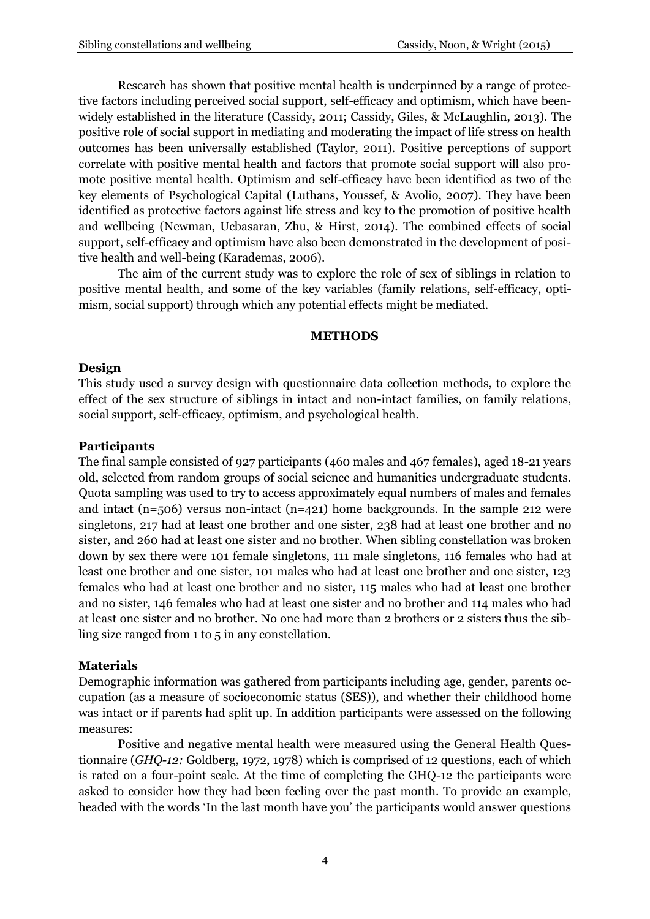Research has shown that positive mental health is underpinned by a range of protective factors including perceived social support, self-efficacy and optimism, which have beenwidely established in the literature (Cassidy, 2011; Cassidy, Giles, & McLaughlin, 2013). The positive role of social support in mediating and moderating the impact of life stress on health outcomes has been universally established (Taylor, 2011). Positive perceptions of support correlate with positive mental health and factors that promote social support will also promote positive mental health. Optimism and self-efficacy have been identified as two of the key elements of Psychological Capital (Luthans, Youssef, & Avolio, 2007). They have been identified as protective factors against life stress and key to the promotion of positive health and wellbeing (Newman, Ucbasaran, Zhu, & Hirst, 2014). The combined effects of social support, self-efficacy and optimism have also been demonstrated in the development of positive health and well-being (Karademas, 2006).

The aim of the current study was to explore the role of sex of siblings in relation to positive mental health, and some of the key variables (family relations, self-efficacy, optimism, social support) through which any potential effects might be mediated.

#### **METHODS**

## **Design**

This study used a survey design with questionnaire data collection methods, to explore the effect of the sex structure of siblings in intact and non-intact families, on family relations, social support, self-efficacy, optimism, and psychological health.

#### **Participants**

The final sample consisted of 927 participants (460 males and 467 females), aged 18-21 years old, selected from random groups of social science and humanities undergraduate students. Quota sampling was used to try to access approximately equal numbers of males and females and intact (n=506) versus non-intact (n=421) home backgrounds. In the sample 212 were singletons, 217 had at least one brother and one sister, 238 had at least one brother and no sister, and 260 had at least one sister and no brother. When sibling constellation was broken down by sex there were 101 female singletons, 111 male singletons, 116 females who had at least one brother and one sister, 101 males who had at least one brother and one sister, 123 females who had at least one brother and no sister, 115 males who had at least one brother and no sister, 146 females who had at least one sister and no brother and 114 males who had at least one sister and no brother. No one had more than 2 brothers or 2 sisters thus the sibling size ranged from 1 to 5 in any constellation.

## **Materials**

Demographic information was gathered from participants including age, gender, parents occupation (as a measure of socioeconomic status (SES)), and whether their childhood home was intact or if parents had split up. In addition participants were assessed on the following measures:

Positive and negative mental health were measured using the General Health Questionnaire (*GHQ-12:* Goldberg, 1972, 1978) which is comprised of 12 questions, each of which is rated on a four-point scale. At the time of completing the GHQ-12 the participants were asked to consider how they had been feeling over the past month. To provide an example, headed with the words 'In the last month have you' the participants would answer questions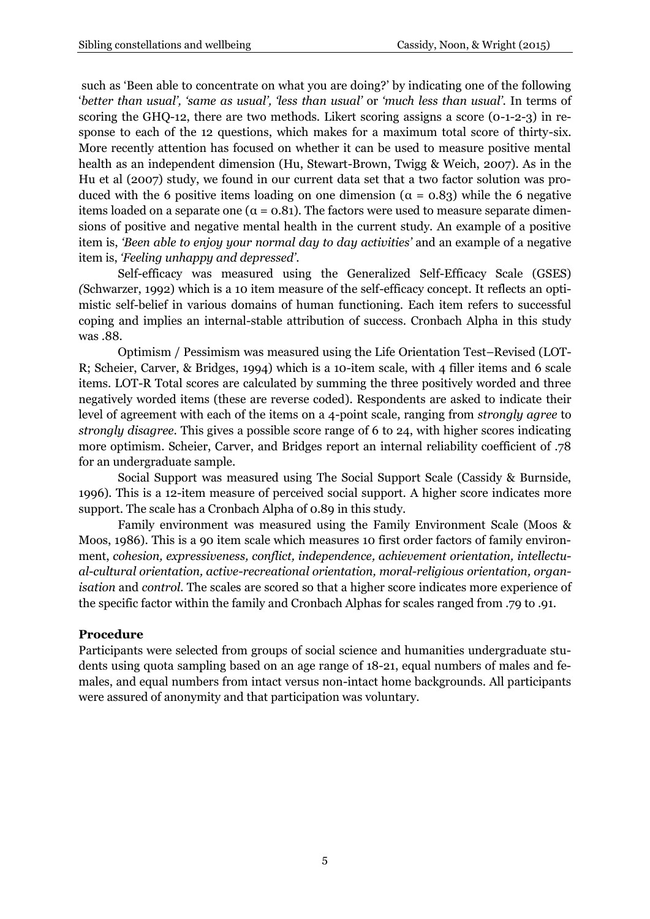such as 'Been able to concentrate on what you are doing?' by indicating one of the following '*better than usual', 'same as usual', 'less than usual'* or *'much less than usual'*. In terms of scoring the GHQ-12, there are two methods. Likert scoring assigns a score (0-1-2-3) in response to each of the 12 questions, which makes for a maximum total score of thirty-six. More recently attention has focused on whether it can be used to measure positive mental health as an independent dimension (Hu, Stewart-Brown, Twigg & Weich, 2007). As in the Hu et al (2007) study, we found in our current data set that a two factor solution was produced with the 6 positive items loading on one dimension ( $α = 0.83$ ) while the 6 negative items loaded on a separate one ( $\alpha$  = 0.81). The factors were used to measure separate dimensions of positive and negative mental health in the current study. An example of a positive item is, *'Been able to enjoy your normal day to day activities'* and an example of a negative item is, *'Feeling unhappy and depressed'*.

Self-efficacy was measured using the Generalized Self-Efficacy Scale (GSES) *(*Schwarzer, 1992) which is a 10 item measure of the self-efficacy concept. It reflects an optimistic self-belief in various domains of human functioning. Each item refers to successful coping and implies an internal-stable attribution of success. Cronbach Alpha in this study was .88.

Optimism / Pessimism was measured using the Life Orientation Test–Revised (LOT-R; Scheier, Carver, & Bridges, 1994) which is a 10-item scale, with 4 filler items and 6 scale items. LOT-R Total scores are calculated by summing the three positively worded and three negatively worded items (these are reverse coded). Respondents are asked to indicate their level of agreement with each of the items on a 4-point scale, ranging from *strongly agree* to *strongly disagree*. This gives a possible score range of 6 to 24, with higher scores indicating more optimism. Scheier, Carver, and Bridges report an internal reliability coefficient of .78 for an undergraduate sample.

Social Support was measured using The Social Support Scale (Cassidy & Burnside, 1996)*.* This is a 12-item measure of perceived social support. A higher score indicates more support. The scale has a Cronbach Alpha of 0.89 in this study.

Family environment was measured using the Family Environment Scale (Moos & Moos, 1986). This is a 90 item scale which measures 10 first order factors of family environment, *cohesion, expressiveness, conflict, independence, achievement orientation, intellectual-cultural orientation, active-recreational orientation, moral-religious orientation, organisation* and *control.* The scales are scored so that a higher score indicates more experience of the specific factor within the family and Cronbach Alphas for scales ranged from .79 to .91.

## **Procedure**

Participants were selected from groups of social science and humanities undergraduate students using quota sampling based on an age range of 18-21, equal numbers of males and females, and equal numbers from intact versus non-intact home backgrounds. All participants were assured of anonymity and that participation was voluntary.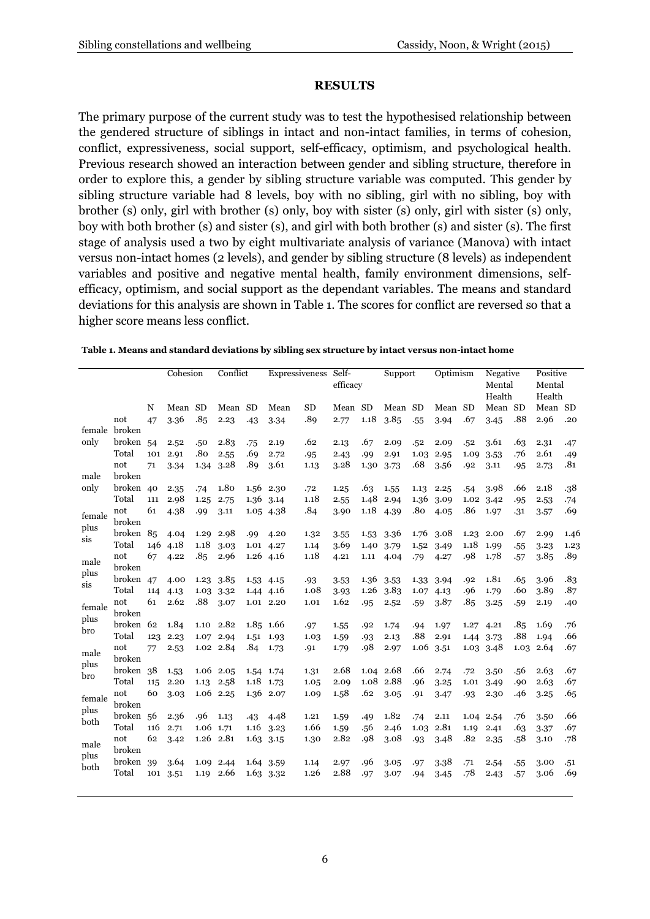#### **RESULTS**

The primary purpose of the current study was to test the hypothesised relationship between the gendered structure of siblings in intact and non-intact families, in terms of cohesion, conflict, expressiveness, social support, self-efficacy, optimism, and psychological health. Previous research showed an interaction between gender and sibling structure, therefore in order to explore this, a gender by sibling structure variable was computed. This gender by sibling structure variable had 8 levels, boy with no sibling, girl with no sibling, boy with brother (s) only, girl with brother (s) only, boy with sister (s) only, girl with sister (s) only, boy with both brother (s) and sister (s), and girl with both brother (s) and sister (s). The first stage of analysis used a two by eight multivariate analysis of variance (Manova) with intact versus non-intact homes (2 levels), and gender by sibling structure (8 levels) as independent variables and positive and negative mental health, family environment dimensions, selfefficacy, optimism, and social support as the dependant variables. The means and standard deviations for this analysis are shown in Table 1. The scores for conflict are reversed so that a higher score means less conflict.

|                    |     | Cohesion                                                                                      |                                              | Conflict           |                                                                                                          | Expressiveness |                                                                                                            | Self-<br>efficacy                         |                                      | Support                    |                              | Optimism                   |                                                      | Negative<br>Mental<br>Health |                                              | Positive<br>Mental<br>Health |                              |
|--------------------|-----|-----------------------------------------------------------------------------------------------|----------------------------------------------|--------------------|----------------------------------------------------------------------------------------------------------|----------------|------------------------------------------------------------------------------------------------------------|-------------------------------------------|--------------------------------------|----------------------------|------------------------------|----------------------------|------------------------------------------------------|------------------------------|----------------------------------------------|------------------------------|------------------------------|
|                    | N   | Mean SD                                                                                       |                                              | Mean               | <b>SD</b>                                                                                                | Mean           | <b>SD</b>                                                                                                  | Mean SD                                   |                                      | Mean SD                    |                              | Mean SD                    |                                                      | Mean SD                      |                                              | Mean SD                      |                              |
| not                | 47  | 3.36                                                                                          | .85                                          | 2.23               | .43                                                                                                      | 3.34           | .89                                                                                                        | 2.77                                      | 1.18                                 | 3.85                       | .55                          | 3.94                       | .67                                                  | 3.45                         | .88                                          | 2.96                         | .20                          |
| female broken      |     |                                                                                               |                                              |                    |                                                                                                          |                |                                                                                                            |                                           |                                      |                            |                              |                            |                                                      |                              |                                              |                              |                              |
| broken 54<br>Total | 101 | 2.52<br>2.91                                                                                  | .50<br>.80                                   | 2.83               | .75<br>.69                                                                                               | 2.19           | .62                                                                                                        | 2.13                                      | .67                                  | 2.09                       | .52                          | 2.09                       | .52                                                  | 3.61                         | .63                                          | 2.31<br>2.61                 | .47                          |
| not                | 71  | 3.34                                                                                          | 1.34                                         | 2.55<br>3.28       | .89                                                                                                      | 2.72<br>3.61   | .95<br>1.13                                                                                                | 2.43<br>3.28                              | .99<br>1.30                          | 2.91<br>3.73               | 1.03<br>.68                  | 2.95<br>3.56               | 1.09<br>.92                                          | 3.53<br>3.11                 | .76                                          | 2.73                         | .49<br>.81                   |
| broken             |     |                                                                                               |                                              |                    |                                                                                                          |                |                                                                                                            |                                           |                                      |                            |                              |                            |                                                      |                              | .95                                          |                              |                              |
|                    |     |                                                                                               |                                              |                    |                                                                                                          |                |                                                                                                            |                                           |                                      |                            |                              |                            |                                                      |                              |                                              |                              | .38                          |
| Total              |     |                                                                                               |                                              |                    |                                                                                                          |                |                                                                                                            |                                           |                                      |                            |                              |                            |                                                      |                              |                                              |                              | .74                          |
|                    |     |                                                                                               |                                              |                    |                                                                                                          |                |                                                                                                            |                                           |                                      |                            |                              |                            |                                                      |                              |                                              |                              | .69                          |
| broken             |     |                                                                                               |                                              |                    |                                                                                                          |                |                                                                                                            |                                           |                                      |                            |                              |                            |                                                      |                              |                                              |                              |                              |
|                    |     | 4.04                                                                                          | 1.29                                         | 2.98               | .99                                                                                                      | 4.20           | 1.32                                                                                                       | 3.55                                      | 1.53                                 | 3.36                       | 1.76                         | 3.08                       | 1.23                                                 | 2.00                         | .67                                          | 2.99                         | 1.46                         |
| Total              | 146 |                                                                                               | 1.18                                         | 3.03               |                                                                                                          |                | 1.14                                                                                                       | 3.69                                      | 1.40                                 | 3.79                       | 1.52                         | 3.49                       | 1.18                                                 | 1.99                         | .55                                          | 3.23                         | 1.23                         |
| not<br>broken      | 67  | 4.22                                                                                          | .85                                          | 2.96               | 1.26                                                                                                     | 4.16           | 1.18                                                                                                       | 4.21                                      | 1.11                                 | 4.04                       | .79                          | 4.27                       | .98                                                  | 1.78                         | .57                                          | 3.85                         | .89                          |
|                    |     | 4.00                                                                                          | 1.23                                         | 3.85               | 1.53                                                                                                     | 4.15           | .93                                                                                                        | 3.53                                      | 1.36                                 | 3.53                       | 1.33                         |                            | .92                                                  | 1.81                         | .65                                          | 3.96                         | .83                          |
| Total              | 114 | 4.13                                                                                          | 1.03                                         | 3.32               | 1.44                                                                                                     |                | 1.08                                                                                                       | 3.93                                      | 1.26                                 | 3.83                       | 1.07                         | 4.13                       | .96                                                  | 1.79                         | .60                                          | 3.89                         | .87                          |
| not<br>broken      | 61  | 2.62                                                                                          | .88                                          | 3.07               |                                                                                                          |                | 1.01                                                                                                       | 1.62                                      | .95                                  | 2.52                       | .59                          | 3.87                       | .85                                                  | 3.25                         | .59                                          | 2.19                         | .40                          |
|                    |     | 1.84                                                                                          | 1.10                                         | 2.82               |                                                                                                          |                |                                                                                                            |                                           | .92                                  | 1.74                       | .94                          |                            | 1.27                                                 |                              | .85                                          | 1.69                         | .76                          |
| Total              | 123 | 2.23                                                                                          | 1.07                                         | 2.94               | 1.51                                                                                                     | 1.93           | 1.03                                                                                                       | 1.59                                      | .93                                  | 2.13                       | .88                          | 2.91                       | 1.44                                                 | 3.73                         | .88                                          | 1.94                         | .66                          |
| not<br>broken      | 77  | 2.53                                                                                          |                                              |                    | .84                                                                                                      | 1.73           | .91                                                                                                        | 1.79                                      | .98                                  | 2.97                       | 1.06                         | 3.51                       | 1.03                                                 | 3.48                         | 1.03                                         | 2.64                         | .67                          |
|                    |     |                                                                                               |                                              |                    |                                                                                                          |                |                                                                                                            | 2.68                                      | 1.04                                 | 2.68                       | .66                          |                            | .72                                                  |                              | .56                                          | 2.63                         | .67                          |
| Total              | 115 | 2.20                                                                                          | 1.13                                         | 2.58               | 1.18                                                                                                     | 1.73           | 1.05                                                                                                       | 2.09                                      | 1.08                                 | 2.88                       | .96                          | 3.25                       | 1.01                                                 | 3.49                         | .90                                          | 2.63                         | .67                          |
| not<br>broken      | 60  | 3.03                                                                                          |                                              |                    |                                                                                                          | 2.07           | 1.09                                                                                                       | 1.58                                      | .62                                  | 3.05                       | .91                          | 3.47                       | .93                                                  | 2.30                         | .46                                          | 3.25                         | .65                          |
|                    |     | 2.36                                                                                          | .96                                          | 1.13               | .43                                                                                                      | 4.48           | 1.21                                                                                                       | 1.59                                      | .49                                  | 1.82                       | .74                          | 2.11                       | 1.04                                                 | 2.54                         | .76                                          | 3.50                         | .66                          |
| Total              | 116 | 2.71                                                                                          |                                              |                    | 1.16                                                                                                     | 3.23           | 1.66                                                                                                       | 1.59                                      | .56                                  | 2.46                       | 1.03                         | 2.81                       | 1.19                                                 | 2.41                         | .63                                          | 3.37                         | .67                          |
| not<br>broken      | 62  | 3.42                                                                                          |                                              |                    | 1.63                                                                                                     | 3.15           | 1.30                                                                                                       | 2.82                                      | .98                                  | 3.08                       | .93                          | 3.48                       | .82                                                  | 2.35                         | .58                                          | 3.10                         | .78                          |
| broken             |     |                                                                                               |                                              |                    |                                                                                                          |                |                                                                                                            |                                           |                                      |                            |                              |                            |                                                      |                              |                                              |                              | .51                          |
| Total              | 101 | 3.51                                                                                          | 1.19                                         | 2.66               | 1.63                                                                                                     | 3.32           | 1.26                                                                                                       | 2.88                                      | .97                                  | 3.07                       | .94                          | 3.45                       | .78                                                  | 2.43                         | .57                                          | 3.06                         | .69                          |
| not                |     | broken 40<br>111<br>61<br>broken 85<br>broken 47<br>broken 62<br>broken 38<br>broken 56<br>39 | 2.35<br>2.98<br>4.38<br>4.18<br>1.53<br>3.64 | .74<br>1.25<br>.99 | 1.80<br>2.75<br>3.11<br>1.02 2.84<br>$1.06$ 2.05<br>1.06 2.25<br>1.06 1.71<br>$1.26$ $2.81$<br>1.09 2.44 | 1.56<br>1.36   | 2.30<br>3.14<br>1.05 4.38<br>1.01 4.27<br>4.16<br>1.01 2.20<br>1.85 1.66<br>1.54 1.74<br>1.36<br>1.64 3.59 | .72<br>1.18<br>.84<br>.97<br>1.31<br>1.14 | 1.25<br>2.55<br>3.90<br>1.55<br>2.97 | .63<br>1.48<br>1.18<br>.96 | 1.55<br>2.94<br>4.39<br>3.05 | 1.13<br>1.36<br>.80<br>.97 | 2.25<br>3.09<br>4.05<br>3.94<br>1.97<br>2.74<br>3.38 | .54<br>1.02<br>.86<br>.71    | 3.98<br>3.42<br>1.97<br>4.21<br>3.50<br>2.54 | .66<br>.95<br>.31<br>.55     | 2.18<br>2.53<br>3.57<br>3.00 |

**Table 1. Means and standard deviations by sibling sex structure by intact versus non-intact home**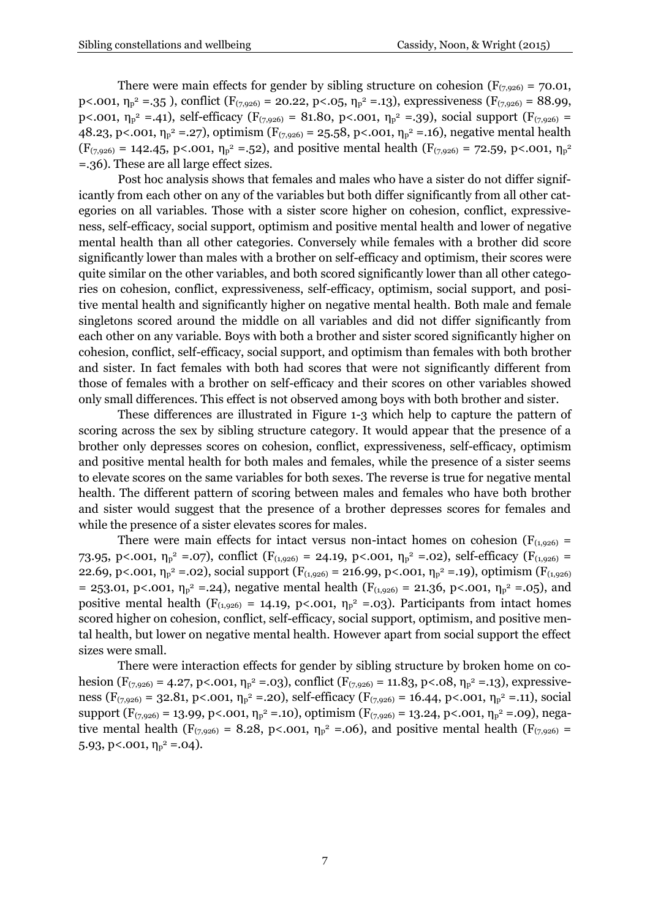There were main effects for gender by sibling structure on cohesion ( $F_{(7,926)} = 70.01$ , p<.001,  $\eta_p^2 = 35$ ), conflict  $(F_{(7,926)} = 20.22, p < 0.05, \eta_p^2 = 13)$ , expressiveness  $(F_{(7,926)} = 88.99,$ p<.001,  $\eta_p^2 = .41$ ), self-efficacy ( $F_{(7,926)} = 81.80$ , p<.001,  $\eta_p^2 = .39$ ), social support ( $F_{(7,926)} =$ 48.23, p<.001,  $\eta_p^2 = 27$ , optimism  $(F_{(7,926)} = 25.58, p<.001, \eta_p^2 = 16)$ , negative mental health  $(F_{(7,926)} = 142.45, p<.001, \eta_p^2 = .52)$ , and positive mental health  $(F_{(7,926)} = 72.59, p<.001, \eta_p^2$ =.36). These are all large effect sizes.

Post hoc analysis shows that females and males who have a sister do not differ significantly from each other on any of the variables but both differ significantly from all other categories on all variables. Those with a sister score higher on cohesion, conflict, expressiveness, self-efficacy, social support, optimism and positive mental health and lower of negative mental health than all other categories. Conversely while females with a brother did score significantly lower than males with a brother on self-efficacy and optimism, their scores were quite similar on the other variables, and both scored significantly lower than all other categories on cohesion, conflict, expressiveness, self-efficacy, optimism, social support, and positive mental health and significantly higher on negative mental health. Both male and female singletons scored around the middle on all variables and did not differ significantly from each other on any variable. Boys with both a brother and sister scored significantly higher on cohesion, conflict, self-efficacy, social support, and optimism than females with both brother and sister. In fact females with both had scores that were not significantly different from those of females with a brother on self-efficacy and their scores on other variables showed only small differences. This effect is not observed among boys with both brother and sister.

These differences are illustrated in Figure 1-3 which help to capture the pattern of scoring across the sex by sibling structure category. It would appear that the presence of a brother only depresses scores on cohesion, conflict, expressiveness, self-efficacy, optimism and positive mental health for both males and females, while the presence of a sister seems to elevate scores on the same variables for both sexes. The reverse is true for negative mental health. The different pattern of scoring between males and females who have both brother and sister would suggest that the presence of a brother depresses scores for females and while the presence of a sister elevates scores for males.

There were main effects for intact versus non-intact homes on cohesion ( $F_{(1,926)}$  = 73.95, p<.001,  $\eta_p^2 = 0.07$ , conflict  $(F_{(1,926)} = 24.19, p< .001, \eta_p^2 = 0.02)$ , self-efficacy  $(F_{(1,926)} = 1.02)$ 22.69, p<.001,  $\eta_p^2 = 0.02$ ), social support ( $F_{(1,926)} = 216.99$ , p<.001,  $\eta_p^2 = 19$ ), optimism ( $F_{(1,926)}$ = 253.01, p<.001,  $\eta_p^2$  =.24), negative mental health ( $F_{(1,926)}$  = 21.36, p<.001,  $\eta_p^2$  =.05), and positive mental health ( $F_{(1,926)} = 14.19$ , p<.001,  $\eta_p^2 = .03$ ). Participants from intact homes scored higher on cohesion, conflict, self-efficacy, social support, optimism, and positive mental health, but lower on negative mental health. However apart from social support the effect sizes were small.

There were interaction effects for gender by sibling structure by broken home on cohesion ( $F_{(7,926)} = 4.27$ , p<.001,  $\eta_p^2 = .03$ ), conflict ( $F_{(7,926)} = 11.83$ , p<.08,  $\eta_p^2 = .13$ ), expressiveness ( $F_{(7,926)} = 32.81$ , p<.001,  $\eta_p^2 = 0.20$ ), self-efficacy ( $F_{(7,926)} = 16.44$ , p<.001,  $\eta_p^2 = 0.11$ ), social support  $(F_{(7,926)} = 13.99, p< .001, \eta_p^2 = .10)$ , optimism  $(F_{(7,926)} = 13.24, p< .001, \eta_p^2 = .09)$ , negative mental health ( $F_{(7,926)} = 8.28$ , p<.001,  $\eta_p^2 = .06$ ), and positive mental health ( $F_{(7,926)} =$ 5.93, p<.001,  $\eta_p^2 = .04$ ).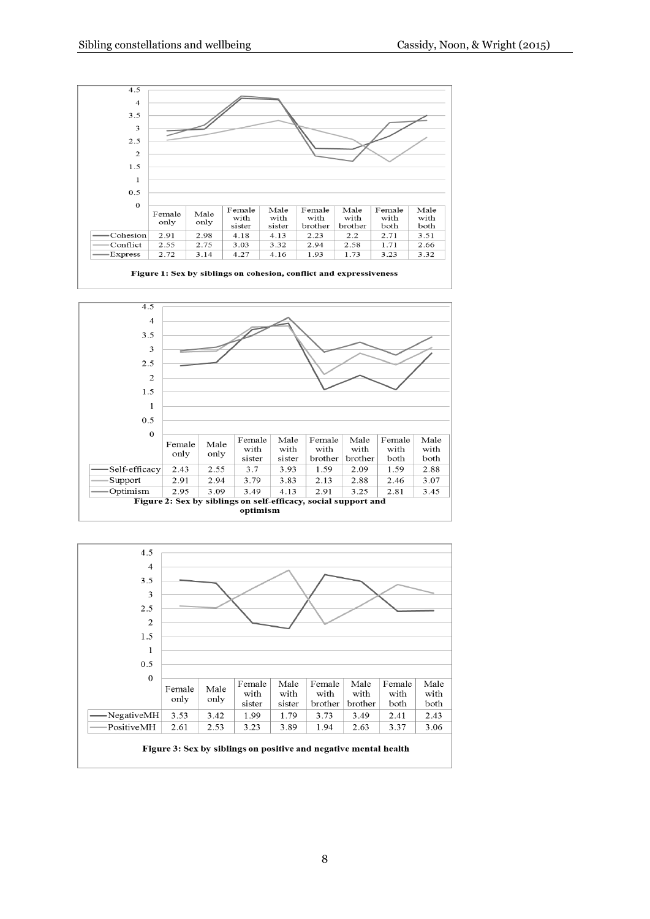





8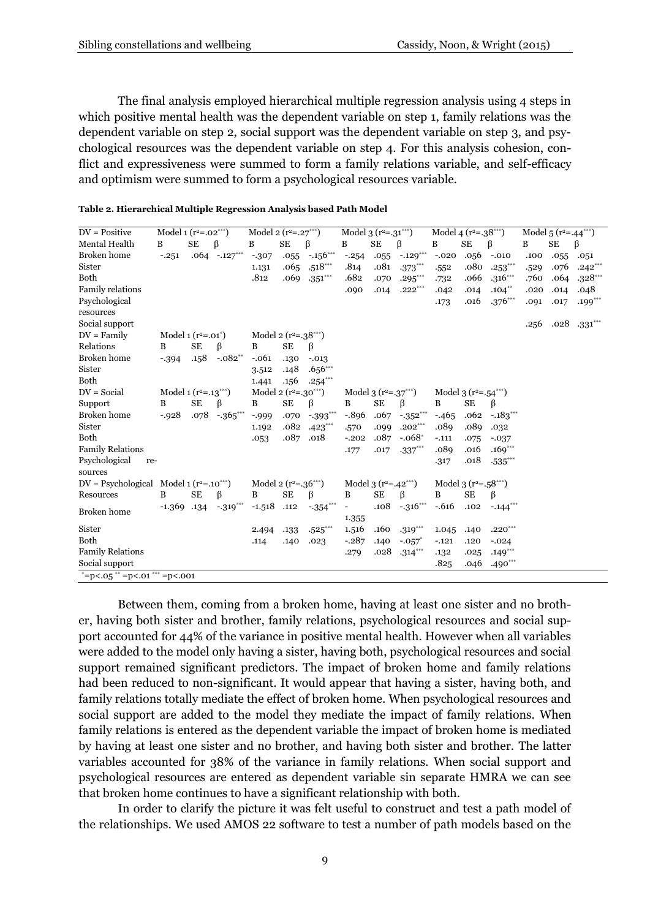The final analysis employed hierarchical multiple regression analysis using 4 steps in which positive mental health was the dependent variable on step 1, family relations was the dependent variable on step 2, social support was the dependent variable on step 3, and psychological resources was the dependent variable on step 4. For this analysis cohesion, conflict and expressiveness were summed to form a family relations variable, and self-efficacy and optimism were summed to form a psychological resources variable.

| $DV = Positive$                                 | Model 1 ( $r^2$ =.02***) |           |                  | Model 2 ( $r^2 = .27***$ ) |           |                                    | Model 3 $(r^2=.31***)$      |           |                      | Model 4 $(r^2=.38***)$ |                        |                        | Model 5 $(r^2 = .44^{***})$ |      |           |  |
|-------------------------------------------------|--------------------------|-----------|------------------|----------------------------|-----------|------------------------------------|-----------------------------|-----------|----------------------|------------------------|------------------------|------------------------|-----------------------------|------|-----------|--|
| Mental Health                                   | B                        | <b>SE</b> | β                | B                          | <b>SE</b> | β                                  | B                           | SE        | β                    | B                      | SE                     | $\beta$                | B                           | SE   | β         |  |
| Broken home                                     | $-.251$                  |           | $.064 - .127***$ | $-307$                     | .055      | $-.156***$                         | $-.254$                     | .055      | $-.129***$           | $-.020$                | .056                   | $-.010$                | .100                        | .055 | .051      |  |
| Sister                                          |                          |           |                  | 1.131                      | .065      | $.518***$                          | .814                        | .081      | $.373***$            | .552                   | .080                   | $.253***$              | .529                        | .076 | $.242***$ |  |
| Both                                            |                          |           |                  | .812                       | .069      | $.351***$                          | .682                        | .070      | $.295***$            | .732                   | .066                   | $.316***$              | .760                        | .064 | $.328***$ |  |
| <b>Family relations</b>                         |                          |           |                  |                            |           |                                    | .090                        | .014      | $.222***$            | .042                   | .014                   | $.104***$              | .020                        | .014 | .048      |  |
| Psychological                                   |                          |           |                  |                            |           |                                    |                             |           |                      | .173                   | .016                   | $.376***$              | .091                        | .017 | $.199***$ |  |
| resources                                       |                          |           |                  |                            |           |                                    |                             |           |                      |                        |                        |                        |                             |      |           |  |
| Social support                                  |                          |           |                  |                            |           |                                    |                             |           |                      |                        |                        |                        | .256                        | .028 | $.331***$ |  |
| $DV = Family$                                   | Model 1 $(r^2=.01^*)$    |           |                  | Model 2 $(r^2=.38***)$     |           |                                    |                             |           |                      |                        |                        |                        |                             |      |           |  |
| Relations                                       | B                        | <b>SE</b> | β                | B                          | <b>SE</b> | ß                                  |                             |           |                      |                        |                        |                        |                             |      |           |  |
| <b>Broken</b> home                              | $-394$                   | .158      | $-.082**$        | $-.061$                    | .130      | $-.013$                            |                             |           |                      |                        |                        |                        |                             |      |           |  |
| Sister                                          |                          |           |                  | 3.512                      | .148      | $.656***$                          |                             |           |                      |                        |                        |                        |                             |      |           |  |
| Both                                            |                          |           |                  | 1.441                      | .156      | $.254***$                          |                             |           |                      |                        |                        |                        |                             |      |           |  |
| $DV = Social$                                   | Model 1 $(r^2=0.13***)$  |           |                  | Model 2 $(r^2=.30^{***})$  |           |                                    | Model 3 $(r^2=.37***)$      |           |                      |                        | Model 3 $(r^2=.54***)$ |                        |                             |      |           |  |
| Support                                         | B                        | <b>SE</b> | $\beta$          | B                          | <b>SE</b> | ß                                  | B                           | <b>SE</b> | β                    | B                      | <b>SE</b>              | ß                      |                             |      |           |  |
| Broken home                                     | $-0.928$                 | .078      | $-365***$        | $-0.999$                   | .070      | $-393***$                          | $-0.896$                    | .067      | $-352***$            | $-465$                 | .062                   | $-.183$ ***            |                             |      |           |  |
| Sister                                          |                          |           |                  | 1.192                      | .082      | $.423***$                          | .570                        | .099      | $.202***$            | .089                   | .089                   | .032                   |                             |      |           |  |
| Both                                            |                          |           |                  | .053                       | .087      | .018                               | $-.202$                     | .087      | $-.068*$             | $-.111$                | .075                   | $-.037$                |                             |      |           |  |
| <b>Family Relations</b>                         |                          |           |                  |                            |           |                                    | .177                        | .017      | $.337***$            | .089                   | .016                   | $.169***$              |                             |      |           |  |
| Psychological<br>re-                            |                          |           |                  |                            |           |                                    |                             |           |                      | .317                   | .018                   | $.535***$              |                             |      |           |  |
| sources                                         |                          |           |                  |                            |           |                                    |                             |           |                      |                        |                        |                        |                             |      |           |  |
| $DV = \text{Psvchological Model 1 (r2=.10***)}$ |                          |           |                  | Model 2 $(r^2=.36***)$     |           |                                    | Model 3 $(r^2 = .42^{***})$ |           |                      |                        | Model 3 $(r^2=.58***)$ |                        |                             |      |           |  |
| Resources                                       | B                        | <b>SE</b> | β                | B                          | <b>SE</b> | β                                  | B                           | <b>SE</b> | β                    | B                      | <b>SE</b>              | β                      |                             |      |           |  |
| <b>Broken</b> home                              | $-1.369$ $.134$          |           | $-.319***$       | $-1.518$                   | .112      | $-354***$                          |                             | .108      | $-.316***$           | $-.616$                | .102                   | $-.144$ <sup>***</sup> |                             |      |           |  |
|                                                 |                          |           |                  |                            |           |                                    | 1.355                       |           |                      |                        |                        |                        |                             |      |           |  |
| Sister                                          |                          |           |                  | 2.494                      | .133      | $\boldsymbol{.525}^{\ast\ast\ast}$ | 1.516                       | .160      | $.319***$            | 1.045                  | .140                   | $.220***$              |                             |      |           |  |
| Both                                            |                          |           |                  | .114                       | .140      | .023                               | $-.287$                     | .140      | $-.057$ <sup>*</sup> | $-.121$                | .120                   | $-.024$                |                             |      |           |  |
| <b>Family Relations</b>                         |                          |           |                  |                            |           |                                    | .279                        | .028      | $.314***$            | .132                   | .025                   | $.149***$              |                             |      |           |  |
| Social support                                  |                          |           |                  |                            |           |                                    |                             |           |                      | .825                   | .046                   | $.490***$              |                             |      |           |  |
| $* = p < .05$ ** = p < .01 *** = p < .001       |                          |           |                  |                            |           |                                    |                             |           |                      |                        |                        |                        |                             |      |           |  |

**Table 2. Hierarchical Multiple Regression Analysis based Path Model**

Between them, coming from a broken home, having at least one sister and no brother, having both sister and brother, family relations, psychological resources and social support accounted for 44% of the variance in positive mental health. However when all variables were added to the model only having a sister, having both, psychological resources and social support remained significant predictors. The impact of broken home and family relations had been reduced to non-significant. It would appear that having a sister, having both, and family relations totally mediate the effect of broken home. When psychological resources and social support are added to the model they mediate the impact of family relations. When family relations is entered as the dependent variable the impact of broken home is mediated by having at least one sister and no brother, and having both sister and brother. The latter variables accounted for 38% of the variance in family relations. When social support and psychological resources are entered as dependent variable sin separate HMRA we can see that broken home continues to have a significant relationship with both.

In order to clarify the picture it was felt useful to construct and test a path model of the relationships. We used AMOS 22 software to test a number of path models based on the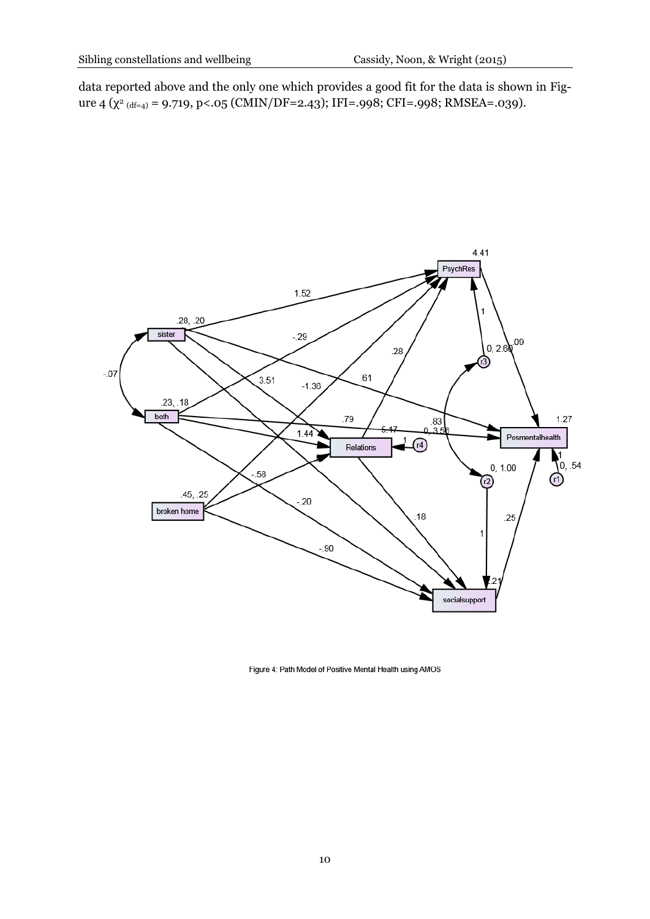data reported above and the only one which provides a good fit for the data is shown in Figure 4 (χ<sup>2</sup> <sub>(df=4</sub>) = 9.719, p<.05 (CMIN/DF=2.43); IFI=.998; CFI=.998; RMSEA=.039).



Figure 4: Path Model of Positive Mental Health using AMOS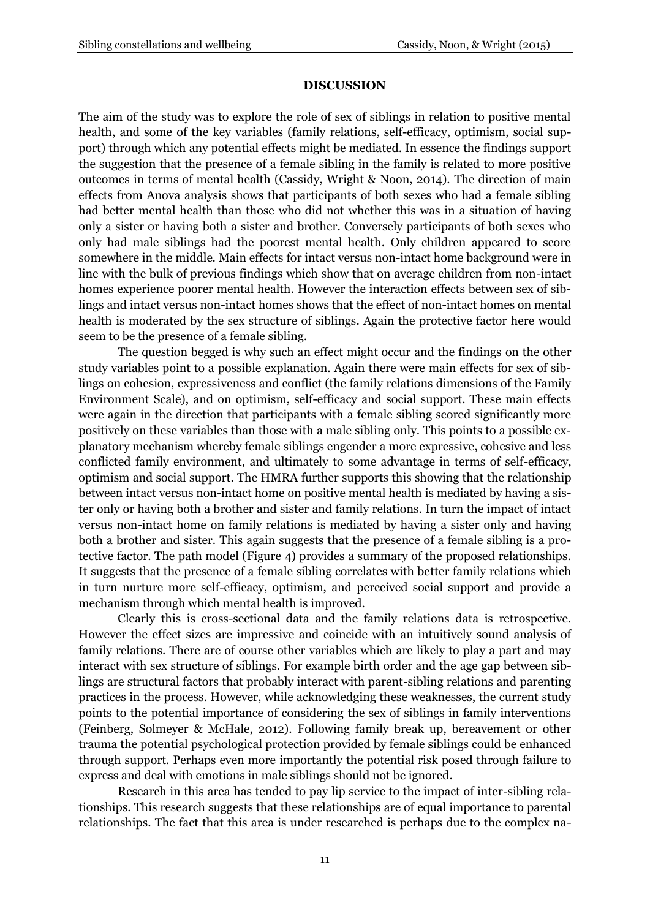#### **DISCUSSION**

The aim of the study was to explore the role of sex of siblings in relation to positive mental health, and some of the key variables (family relations, self-efficacy, optimism, social support) through which any potential effects might be mediated. In essence the findings support the suggestion that the presence of a female sibling in the family is related to more positive outcomes in terms of mental health (Cassidy, Wright & Noon, 2014). The direction of main effects from Anova analysis shows that participants of both sexes who had a female sibling had better mental health than those who did not whether this was in a situation of having only a sister or having both a sister and brother. Conversely participants of both sexes who only had male siblings had the poorest mental health. Only children appeared to score somewhere in the middle. Main effects for intact versus non-intact home background were in line with the bulk of previous findings which show that on average children from non-intact homes experience poorer mental health. However the interaction effects between sex of siblings and intact versus non-intact homes shows that the effect of non-intact homes on mental health is moderated by the sex structure of siblings. Again the protective factor here would seem to be the presence of a female sibling.

The question begged is why such an effect might occur and the findings on the other study variables point to a possible explanation. Again there were main effects for sex of siblings on cohesion, expressiveness and conflict (the family relations dimensions of the Family Environment Scale), and on optimism, self-efficacy and social support. These main effects were again in the direction that participants with a female sibling scored significantly more positively on these variables than those with a male sibling only. This points to a possible explanatory mechanism whereby female siblings engender a more expressive, cohesive and less conflicted family environment, and ultimately to some advantage in terms of self-efficacy, optimism and social support. The HMRA further supports this showing that the relationship between intact versus non-intact home on positive mental health is mediated by having a sister only or having both a brother and sister and family relations. In turn the impact of intact versus non-intact home on family relations is mediated by having a sister only and having both a brother and sister. This again suggests that the presence of a female sibling is a protective factor. The path model (Figure 4) provides a summary of the proposed relationships. It suggests that the presence of a female sibling correlates with better family relations which in turn nurture more self-efficacy, optimism, and perceived social support and provide a mechanism through which mental health is improved.

Clearly this is cross-sectional data and the family relations data is retrospective. However the effect sizes are impressive and coincide with an intuitively sound analysis of family relations. There are of course other variables which are likely to play a part and may interact with sex structure of siblings. For example birth order and the age gap between siblings are structural factors that probably interact with parent-sibling relations and parenting practices in the process. However, while acknowledging these weaknesses, the current study points to the potential importance of considering the sex of siblings in family interventions (Feinberg, Solmeyer & McHale, 2012). Following family break up, bereavement or other trauma the potential psychological protection provided by female siblings could be enhanced through support. Perhaps even more importantly the potential risk posed through failure to express and deal with emotions in male siblings should not be ignored.

Research in this area has tended to pay lip service to the impact of inter-sibling relationships. This research suggests that these relationships are of equal importance to parental relationships. The fact that this area is under researched is perhaps due to the complex na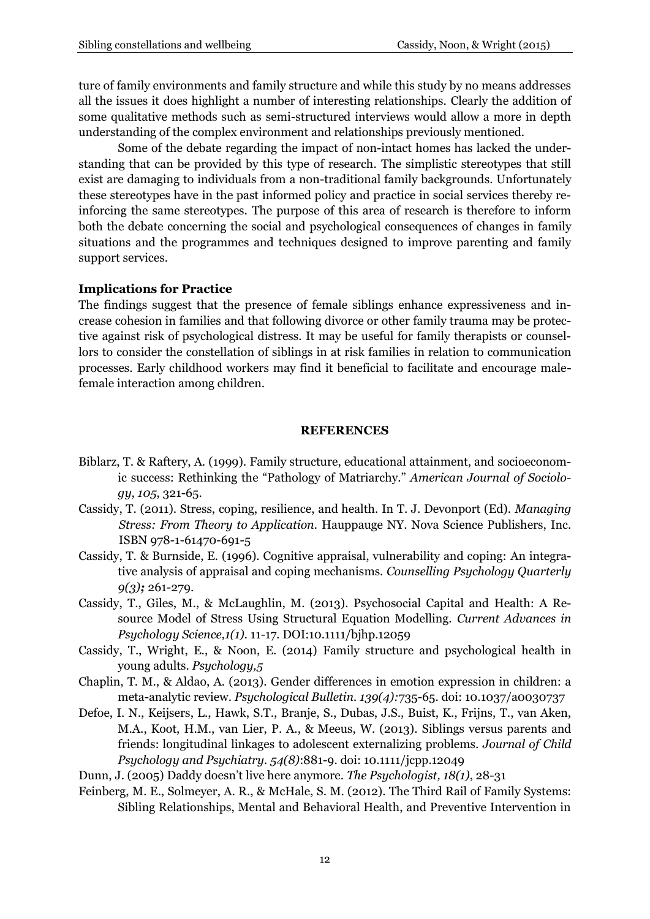ture of family environments and family structure and while this study by no means addresses all the issues it does highlight a number of interesting relationships. Clearly the addition of some qualitative methods such as semi-structured interviews would allow a more in depth understanding of the complex environment and relationships previously mentioned.

Some of the debate regarding the impact of non-intact homes has lacked the understanding that can be provided by this type of research. The simplistic stereotypes that still exist are damaging to individuals from a non-traditional family backgrounds. Unfortunately these stereotypes have in the past informed policy and practice in social services thereby reinforcing the same stereotypes. The purpose of this area of research is therefore to inform both the debate concerning the social and psychological consequences of changes in family situations and the programmes and techniques designed to improve parenting and family support services.

#### **Implications for Practice**

The findings suggest that the presence of female siblings enhance expressiveness and increase cohesion in families and that following divorce or other family trauma may be protective against risk of psychological distress. It may be useful for family therapists or counsellors to consider the constellation of siblings in at risk families in relation to communication processes. Early childhood workers may find it beneficial to facilitate and encourage malefemale interaction among children.

#### **REFERENCES**

- Biblarz, T. & Raftery, A. (1999). Family structure, educational attainment, and socioeconomic success: Rethinking the "Pathology of Matriarchy." *American Journal of Sociology*, *105*, 321-65.
- Cassidy, T. (2011). Stress, coping, resilience, and health. In T. J. Devonport (Ed). *Managing Stress: From Theory to Application.* Hauppauge NY. Nova Science Publishers, Inc. ISBN 978-1-61470-691-5
- Cassidy, T. & Burnside, E. (1996). Cognitive appraisal, vulnerability and coping: An integrative analysis of appraisal and coping mechanisms. *Counselling Psychology Quarterly 9(3);* 261-279.
- Cassidy, T., Giles, M., & McLaughlin, M. (2013). Psychosocial Capital and Health: A Resource Model of Stress Using Structural Equation Modelling. *Current Advances in Psychology Science,1(1).* 11-17*.* DOI:10.1111/bjhp.12059
- Cassidy, T., Wright, E., & Noon, E. (2014) Family structure and psychological health in young adults. *Psychology,5*
- Chaplin, T. M., & Aldao, A. (2013). [Gender differences in emotion expression in children: a](http://www.ncbi.nlm.nih.gov/pubmed/23231534)  [meta-analytic review.](http://www.ncbi.nlm.nih.gov/pubmed/23231534) *Psychological Bulletin. 139(4):*735-65. doi: 10.1037/a0030737
- Defoe, I. N., Keijsers, L., Hawk, S.T., Branje, S., Dubas, J.S., Buist, K., Frijns, T., van Aken, M.A., Koot, H.M., van Lier, P. A., & Meeus, W. (2013). [Siblings versus parents and](http://www.ncbi.nlm.nih.gov/pubmed/23398022)  [friends: longitudinal linkages to adolescent externalizing problems.](http://www.ncbi.nlm.nih.gov/pubmed/23398022) *Journal of Child Psychology and Psychiatry. 54(8)*:881-9. doi: 10.1111/jcpp.12049
- Dunn, J. (2005) Daddy doesn't live here anymore. *The Psychologist, 18(1)*, 28-31
- Feinberg, M. E., Solmeyer, A. R., & McHale, S. M. (2012). The Third Rail of Family Systems: Sibling Relationships, Mental and Behavioral Health, and Preventive Intervention in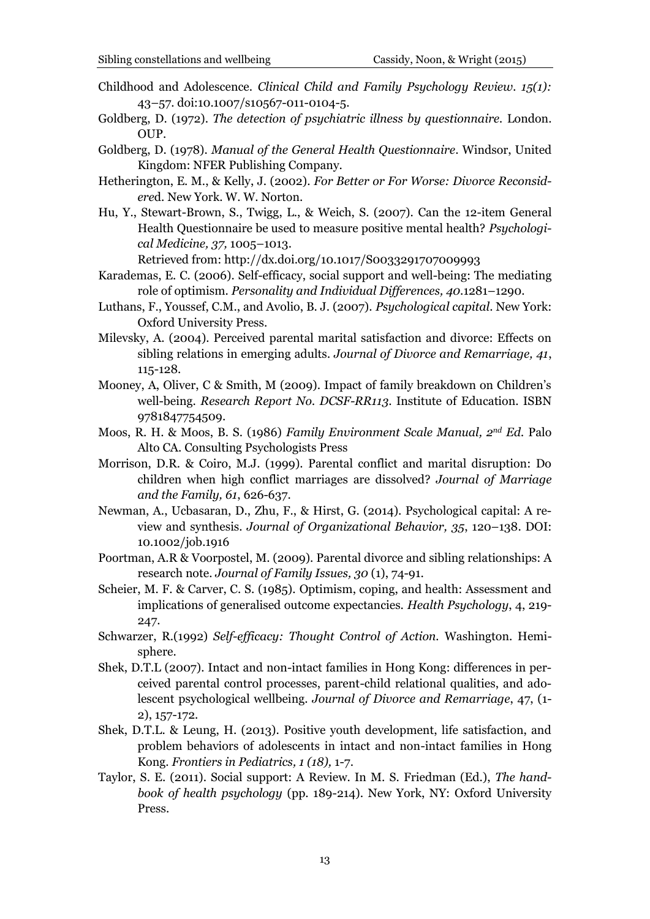- Childhood and Adolescence. *Clinical Child and Family Psychology Review. 15(1):* 43–57. doi:10.1007/s10567-011-0104-5.
- Goldberg, D. (1972). *The detection of psychiatric illness by questionnaire.* London. OUP.
- Goldberg, D. (1978). *Manual of the General Health Questionnaire*. Windsor, United Kingdom: NFER Publishing Company.
- Hetherington, E. M., & Kelly, J. (2002). *For Better or For Worse: Divorce Reconsidere*d. New York. W. W. Norton.
- Hu, Y., Stewart-Brown, S., Twigg, L., & Weich, S. (2007). Can the 12-item General Health Questionnaire be used to measure positive mental health? *Psychological Medicine, 37,* 1005–1013.

Retrieved from:<http://dx.doi.org/10.1017/S0033291707009993>

- Karademas, E. C. (2006). Self-efficacy, social support and well-being: The mediating role of optimism. *Personality and Individual Differences, 40*.1281–1290.
- Luthans, F., Youssef, C.M., and Avolio, B. J. (2007). *Psychological capital*. New York: Oxford University Press.
- Milevsky, A. (2004). Perceived parental marital satisfaction and divorce: Effects on sibling relations in emerging adults*. Journal of Divorce and Remarriage, 41*, 115-128.
- Mooney, A, Oliver, C & Smith, M (2009). Impact of family breakdown on Children's well-being. *Research Report No. DCSF-RR113*. Institute of Education. ISBN 9781847754509.
- Moos, R. H. & Moos, B. S. (1986) *Family Environment Scale Manual, 2nd Ed.* Palo Alto CA. Consulting Psychologists Press
- Morrison, D.R. & Coiro, M.J. (1999). Parental conflict and marital disruption: Do children when high conflict marriages are dissolved? *Journal of Marriage and the Family, 61*, 626-637.
- Newman, A., Ucbasaran, D., Zhu, F., & Hirst, G. (2014). Psychological capital: A review and synthesis. *Journal of Organizational Behavior, 35*, 120–138. DOI: 10.1002/job.1916
- Poortman, A.R & Voorpostel, M. (2009). Parental divorce and sibling relationships: A research note. *Journal of Family Issues, 30* (1), 74-91.
- Scheier, M. F. & Carver, C. S. (1985). Optimism, coping, and health: Assessment and implications of generalised outcome expectancies. *Health Psychology*, 4, 219- 247.
- Schwarzer, R.(1992) *Self-efficacy: Thought Control of Action.* Washington. Hemisphere.
- Shek, D.T.L (2007). Intact and non-intact families in Hong Kong: differences in perceived parental control processes, parent-child relational qualities, and adolescent psychological wellbeing. *Journal of Divorce and Remarriage*, 47, (1- 2), 157-172.
- Shek, D.T.L. & Leung, H. (2013). Positive youth development, life satisfaction, and problem behaviors of adolescents in intact and non-intact families in Hong Kong. *Frontiers in Pediatrics, 1 (18),* 1-7.
- Taylor, S. E. (2011). Social support: A Review. In M. S. Friedman (Ed.), *The handbook of health psychology* (pp. 189-214). New York, NY: Oxford University Press.